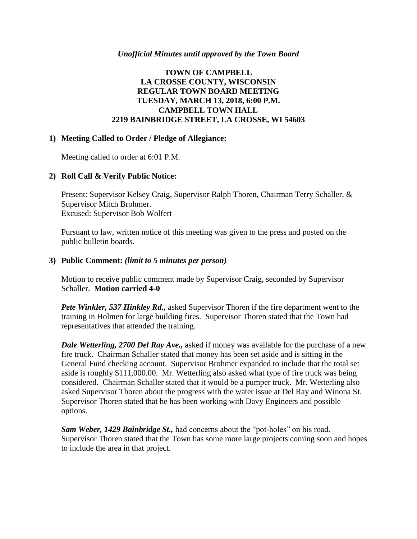### *Unofficial Minutes until approved by the Town Board*

## **TOWN OF CAMPBELL LA CROSSE COUNTY, WISCONSIN REGULAR TOWN BOARD MEETING TUESDAY, MARCH 13, 2018, 6:00 P.M. CAMPBELL TOWN HALL 2219 BAINBRIDGE STREET, LA CROSSE, WI 54603**

### **1) Meeting Called to Order / Pledge of Allegiance:**

Meeting called to order at 6:01 P.M.

## **2) Roll Call & Verify Public Notice:**

Present: Supervisor Kelsey Craig, Supervisor Ralph Thoren, Chairman Terry Schaller, & Supervisor Mitch Brohmer. Excused: Supervisor Bob Wolfert

Pursuant to law, written notice of this meeting was given to the press and posted on the public bulletin boards.

## **3) Public Comment:** *(limit to 5 minutes per person)*

Motion to receive public comment made by Supervisor Craig, seconded by Supervisor Schaller. **Motion carried 4-0**

*Pete Winkler, 537 Hinkley Rd.,* asked Supervisor Thoren if the fire department went to the training in Holmen for large building fires. Supervisor Thoren stated that the Town had representatives that attended the training.

*Dale Wetterling, 2700 Del Ray Ave.,* asked if money was available for the purchase of a new fire truck. Chairman Schaller stated that money has been set aside and is sitting in the General Fund checking account. Supervisor Brohmer expanded to include that the total set aside is roughly \$111,000.00. Mr. Wetterling also asked what type of fire truck was being considered. Chairman Schaller stated that it would be a pumper truck. Mr. Wetterling also asked Supervisor Thoren about the progress with the water issue at Del Ray and Winona St. Supervisor Thoren stated that he has been working with Davy Engineers and possible options.

*Sam Weber, 1429 Bainbridge St.,* had concerns about the "pot-holes" on his road. Supervisor Thoren stated that the Town has some more large projects coming soon and hopes to include the area in that project.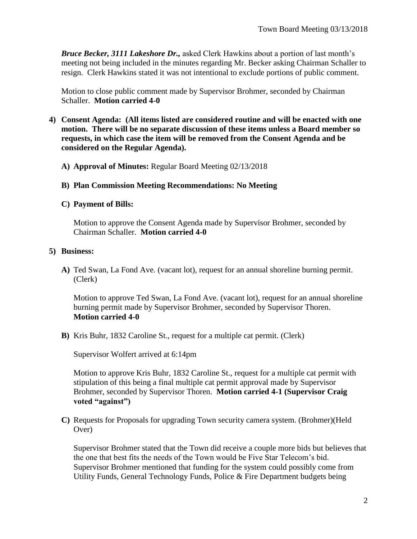*Bruce Becker, 3111 Lakeshore Dr.,* asked Clerk Hawkins about a portion of last month's meeting not being included in the minutes regarding Mr. Becker asking Chairman Schaller to resign. Clerk Hawkins stated it was not intentional to exclude portions of public comment.

Motion to close public comment made by Supervisor Brohmer, seconded by Chairman Schaller. **Motion carried 4-0**

- **4) Consent Agenda: (All items listed are considered routine and will be enacted with one motion. There will be no separate discussion of these items unless a Board member so requests, in which case the item will be removed from the Consent Agenda and be considered on the Regular Agenda).**
	- **A) Approval of Minutes:** Regular Board Meeting 02/13/2018
	- **B) Plan Commission Meeting Recommendations: No Meeting**
	- **C) Payment of Bills:**

Motion to approve the Consent Agenda made by Supervisor Brohmer, seconded by Chairman Schaller. **Motion carried 4-0**

## **5) Business:**

**A)** Ted Swan, La Fond Ave. (vacant lot), request for an annual shoreline burning permit. (Clerk)

Motion to approve Ted Swan, La Fond Ave. (vacant lot), request for an annual shoreline burning permit made by Supervisor Brohmer, seconded by Supervisor Thoren. **Motion carried 4-0**

**B)** Kris Buhr, 1832 Caroline St., request for a multiple cat permit. (Clerk)

Supervisor Wolfert arrived at 6:14pm

Motion to approve Kris Buhr, 1832 Caroline St., request for a multiple cat permit with stipulation of this being a final multiple cat permit approval made by Supervisor Brohmer, seconded by Supervisor Thoren. **Motion carried 4-1 (Supervisor Craig voted "against")**

**C)** Requests for Proposals for upgrading Town security camera system. (Brohmer)(Held Over)

Supervisor Brohmer stated that the Town did receive a couple more bids but believes that the one that best fits the needs of the Town would be Five Star Telecom's bid. Supervisor Brohmer mentioned that funding for the system could possibly come from Utility Funds, General Technology Funds, Police & Fire Department budgets being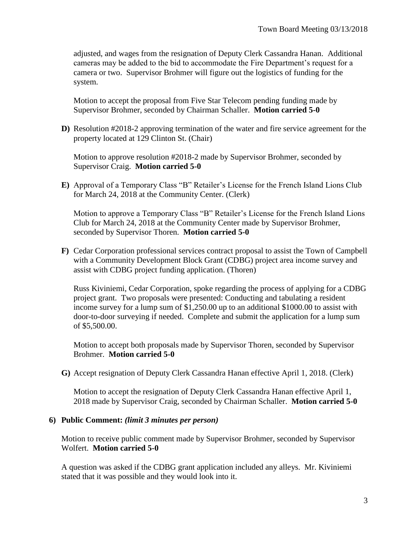adjusted, and wages from the resignation of Deputy Clerk Cassandra Hanan. Additional cameras may be added to the bid to accommodate the Fire Department's request for a camera or two. Supervisor Brohmer will figure out the logistics of funding for the system.

Motion to accept the proposal from Five Star Telecom pending funding made by Supervisor Brohmer, seconded by Chairman Schaller. **Motion carried 5-0**

**D)** Resolution #2018-2 approving termination of the water and fire service agreement for the property located at 129 Clinton St. (Chair)

Motion to approve resolution #2018-2 made by Supervisor Brohmer, seconded by Supervisor Craig. **Motion carried 5-0**

**E)** Approval of a Temporary Class "B" Retailer's License for the French Island Lions Club for March 24, 2018 at the Community Center. (Clerk)

Motion to approve a Temporary Class "B" Retailer's License for the French Island Lions Club for March 24, 2018 at the Community Center made by Supervisor Brohmer, seconded by Supervisor Thoren. **Motion carried 5-0**

**F)** Cedar Corporation professional services contract proposal to assist the Town of Campbell with a Community Development Block Grant (CDBG) project area income survey and assist with CDBG project funding application. (Thoren)

Russ Kiviniemi, Cedar Corporation, spoke regarding the process of applying for a CDBG project grant. Two proposals were presented: Conducting and tabulating a resident income survey for a lump sum of \$1,250.00 up to an additional \$1000.00 to assist with door-to-door surveying if needed. Complete and submit the application for a lump sum of \$5,500.00.

Motion to accept both proposals made by Supervisor Thoren, seconded by Supervisor Brohmer. **Motion carried 5-0**

**G)** Accept resignation of Deputy Clerk Cassandra Hanan effective April 1, 2018. (Clerk)

Motion to accept the resignation of Deputy Clerk Cassandra Hanan effective April 1, 2018 made by Supervisor Craig, seconded by Chairman Schaller. **Motion carried 5-0**

#### **6) Public Comment:** *(limit 3 minutes per person)*

Motion to receive public comment made by Supervisor Brohmer, seconded by Supervisor Wolfert. **Motion carried 5-0**

A question was asked if the CDBG grant application included any alleys. Mr. Kiviniemi stated that it was possible and they would look into it.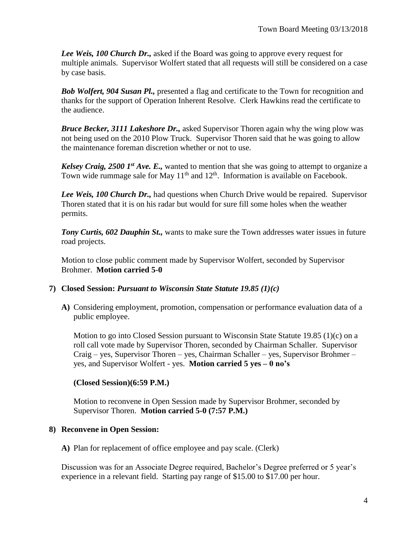*Lee Weis, 100 Church Dr.,* asked if the Board was going to approve every request for multiple animals. Supervisor Wolfert stated that all requests will still be considered on a case by case basis.

*Bob Wolfert, 904 Susan Pl.,* presented a flag and certificate to the Town for recognition and thanks for the support of Operation Inherent Resolve. Clerk Hawkins read the certificate to the audience.

*Bruce Becker, 3111 Lakeshore Dr.,* asked Supervisor Thoren again why the wing plow was not being used on the 2010 Plow Truck. Supervisor Thoren said that he was going to allow the maintenance foreman discretion whether or not to use.

*Kelsey Craig, 2500 1st Ave. E.,* wanted to mention that she was going to attempt to organize a Town wide rummage sale for May  $11<sup>th</sup>$  and  $12<sup>th</sup>$ . Information is available on Facebook.

*Lee Weis, 100 Church Dr.,* had questions when Church Drive would be repaired. Supervisor Thoren stated that it is on his radar but would for sure fill some holes when the weather permits.

*Tony Curtis, 602 Dauphin St.,* wants to make sure the Town addresses water issues in future road projects.

Motion to close public comment made by Supervisor Wolfert, seconded by Supervisor Brohmer. **Motion carried 5-0**

## **7) Closed Session:** *Pursuant to Wisconsin State Statute 19.85 (1)(c)*

**A)** Considering employment, promotion, compensation or performance evaluation data of a public employee.

Motion to go into Closed Session pursuant to Wisconsin State Statute 19.85 (1)(c) on a roll call vote made by Supervisor Thoren, seconded by Chairman Schaller. Supervisor Craig – yes, Supervisor Thoren – yes, Chairman Schaller – yes, Supervisor Brohmer – yes, and Supervisor Wolfert - yes. **Motion carried 5 yes – 0 no's**

## **(Closed Session)(6:59 P.M.)**

Motion to reconvene in Open Session made by Supervisor Brohmer, seconded by Supervisor Thoren. **Motion carried 5-0 (7:57 P.M.)** 

# **8) Reconvene in Open Session:**

**A)** Plan for replacement of office employee and pay scale. (Clerk)

Discussion was for an Associate Degree required, Bachelor's Degree preferred or 5 year's experience in a relevant field. Starting pay range of \$15.00 to \$17.00 per hour.